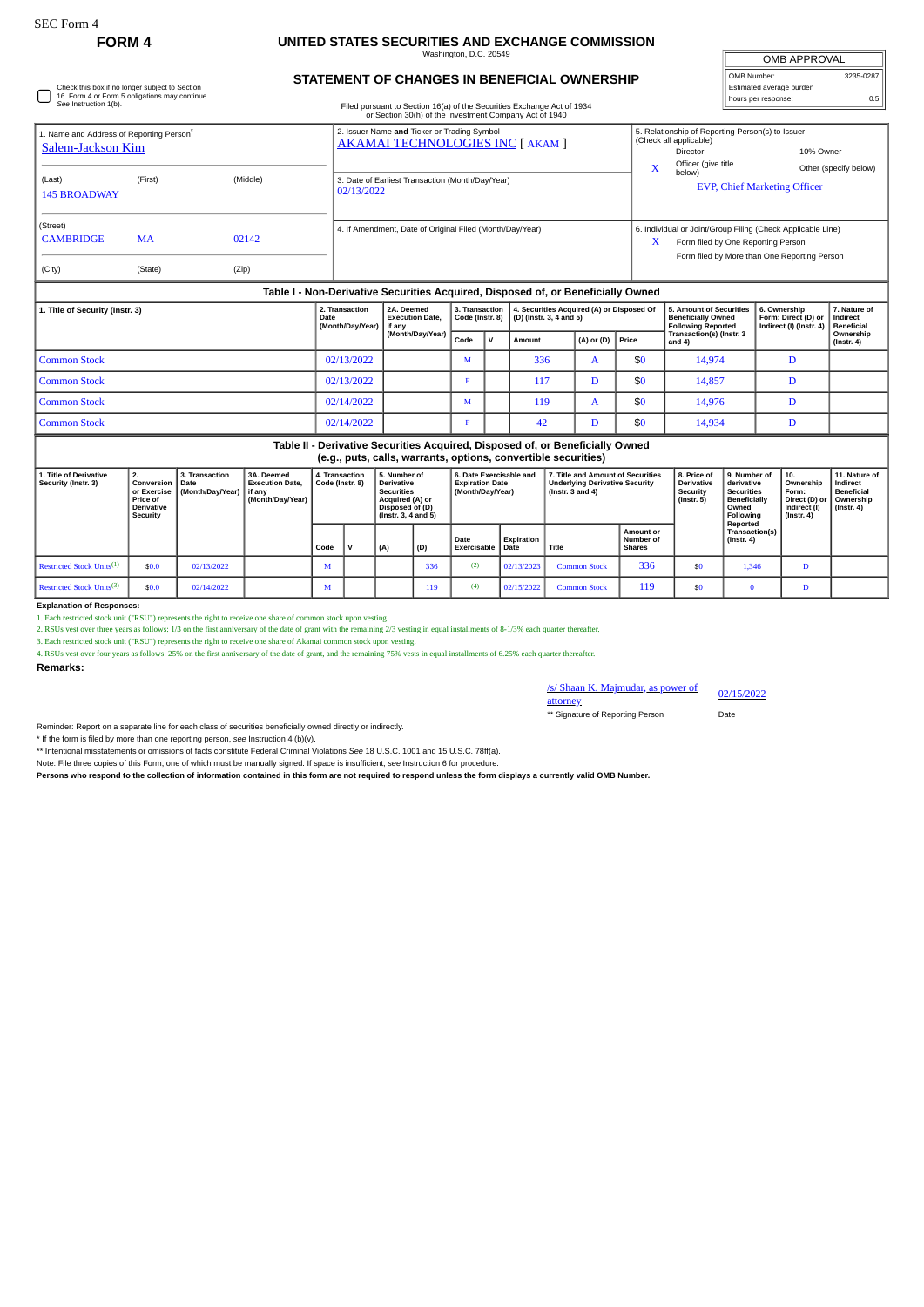Check this box if no longer subject to Section 16. Form 4 or Form 5 obligations may continue. *See* Instruction 1(b).

## **FORM 4 UNITED STATES SECURITIES AND EXCHANGE COMMISSION**

Washington, D.C. 20549

## **STATEMENT OF CHANGES IN BENEFICIAL OWNERSHIP**

Filed pursuant to Section 16(a) of the Securities Exchange Act of 1934 or Section 30(h) of the Investment Company Act of 1940

| <b>OMB APPROVAL</b>      |           |  |  |  |  |  |  |  |  |
|--------------------------|-----------|--|--|--|--|--|--|--|--|
| OMB Number:              | 3235-0287 |  |  |  |  |  |  |  |  |
| Estimated average burden |           |  |  |  |  |  |  |  |  |
| hours per response:      | 0.5       |  |  |  |  |  |  |  |  |

| 1. Name and Address of Reporting Person <sup>®</sup><br>Salem-Jackson Kim |           |          | 2. Issuer Name and Ticker or Trading Symbol<br>AKAMAI TECHNOLOGIES INC [ AKAM ]  | X | 5. Relationship of Reporting Person(s) to Issuer<br>(Check all applicable)<br>Director<br>Officer (give title                                     | 10% Owner<br>Other (specify below) |
|---------------------------------------------------------------------------|-----------|----------|----------------------------------------------------------------------------------|---|---------------------------------------------------------------------------------------------------------------------------------------------------|------------------------------------|
| (Last)<br><b>145 BROADWAY</b>                                             | (First)   | (Middle) | 3. Date of Earliest Transaction (Month/Day/Year)<br>02/13/2022                   |   | below)<br><b>EVP, Chief Marketing Officer</b>                                                                                                     |                                    |
| (Street)<br><b>CAMBRIDGE</b>                                              | <b>MA</b> | 02142    | 4. If Amendment, Date of Original Filed (Month/Day/Year)                         | X | 6. Individual or Joint/Group Filing (Check Applicable Line)<br>Form filed by One Reporting Person<br>Form filed by More than One Reporting Person |                                    |
| (City)                                                                    | (State)   | (Zip)    | Table I - Non-Derivative Securities Acquired, Disposed of, or Beneficially Owned |   |                                                                                                                                                   |                                    |

| 1. Title of Security (Instr. 3) | 2. Transaction<br>2A. Deemed<br><b>Execution Date.</b><br>Date<br>(Month/Day/Year)<br>if anv |                          |   |   | 3. Transaction   4. Securities Acquired (A) or Disposed Of<br>Code (Instr. 8) $\vert$ (D) (Instr. 3, 4 and 5) |                      |     | <b>5. Amount of Securities</b><br><b>Beneficially Owned</b><br><b>Following Reported</b> | 6. Ownership<br>Form: Direct (D) or<br>Indirect (I) (Instr. 4) | 7. Nature of<br>Indirect<br><b>Beneficial</b> |
|---------------------------------|----------------------------------------------------------------------------------------------|--------------------------|---|---|---------------------------------------------------------------------------------------------------------------|----------------------|-----|------------------------------------------------------------------------------------------|----------------------------------------------------------------|-----------------------------------------------|
|                                 |                                                                                              | (Month/Day/Year)<br>Code |   | v | Amount                                                                                                        | $(A)$ or $(D)$ Price |     | Transaction(s) (Instr. 3<br>and 4)                                                       |                                                                | Ownership<br>$($ lnstr. 4 $)$                 |
| Common Stock                    | 02/13/2022                                                                                   |                          | M |   | 336                                                                                                           |                      | \$0 | 14,974                                                                                   |                                                                |                                               |
| Common Stock                    | 02/13/2022                                                                                   |                          |   |   | 117                                                                                                           |                      | \$0 | 14,857                                                                                   | D                                                              |                                               |
| Common Stock                    | 02/14/2022                                                                                   |                          | M |   | 119                                                                                                           |                      | \$0 | 14,976                                                                                   | D                                                              |                                               |
| Common Stock                    | 02/14/2022                                                                                   |                          |   |   | 42                                                                                                            |                      | \$0 | 14,934                                                                                   |                                                                |                                               |

**Table II - Derivative Securities Acquired, Disposed of, or Beneficially Owned (e.g., puts, calls, warrants, options, convertible securities)**

| 1. Title of Derivative<br>Security (Instr. 3) | Conversion<br>or Exercise<br>Price of<br><b>Derivative</b><br>Security | 3. Transaction<br>Date<br>(Month/Day/Year) | 3A. Deemed<br><b>Execution Date.</b><br>l if anv<br>(Month/Day/Year) |      | 5. Number of<br>4. Transaction<br>Code (Instr. 8)<br>Derivative<br><b>Securities</b><br>Acquired (A) or<br>Disposed of (D)<br>(Instr. 3, 4 and 5) |     | 6. Date Exercisable and<br><b>Expiration Date</b><br>(Month/Dav/Year) |                     | 7. Title and Amount of Securities<br>Underlying Derivative Security<br>$($ lnstr. 3 and 4 $)$ |                     | 8. Price of<br><b>Derivative</b><br>Security<br>(Instr. 5) | 9. Number of<br>derivative<br><b>Securities</b><br><b>Beneficially</b><br>Owned<br>Following | 10.<br>Ownership<br>Form:<br>Direct (D) or<br>i Indirect (I)<br>(Instr. 4) | 11. Nature of<br>Indirect<br><b>Beneficial</b><br>Ownership<br>$($ lnstr. 4 $)$ |  |
|-----------------------------------------------|------------------------------------------------------------------------|--------------------------------------------|----------------------------------------------------------------------|------|---------------------------------------------------------------------------------------------------------------------------------------------------|-----|-----------------------------------------------------------------------|---------------------|-----------------------------------------------------------------------------------------------|---------------------|------------------------------------------------------------|----------------------------------------------------------------------------------------------|----------------------------------------------------------------------------|---------------------------------------------------------------------------------|--|
|                                               |                                                                        |                                            |                                                                      | Code |                                                                                                                                                   | (A) | (D)                                                                   | Date<br>Exercisable | Expiration<br>Date                                                                            | Title               | <b>Amount or</b><br>Number of<br>Shares                    |                                                                                              | Reported<br>Transaction(s)<br>$($ lnstr. 4 $)$                             |                                                                                 |  |
| Restricted Stock Units <sup>(1)</sup>         | \$0.0                                                                  | 02/13/2022                                 |                                                                      | W    |                                                                                                                                                   |     | 336                                                                   | (2)                 | 02/13/2023                                                                                    | <b>Common Stock</b> | 336                                                        | \$0                                                                                          | 1,346                                                                      | $\mathbf{r}$                                                                    |  |
| Restricted Stock Units <sup>(3)</sup>         | \$0.0                                                                  | 02/14/2022                                 |                                                                      | М    |                                                                                                                                                   |     | 119                                                                   | (4)                 | 02/15/2022                                                                                    | <b>Common Stock</b> | 119                                                        | \$0                                                                                          |                                                                            |                                                                                 |  |

**Explanation of Responses:**

1. Each restricted stock unit ("RSU") represents the right to receive one share of common stock upon vesting.

2. RSUs vest over three years as follows: 1/3 on the first anniversary of the date of grant with the remaining 2/3 vesting in equal installments of 8-1/3% each quarter thereafter.<br>3. Each restricted stock unit ("RSU") repr

4. RSUs vest over four years as follows: 25% on the first anniversary of the date of grant, and the remaining 75% vests in equal installments of 6.25% each quarter thereafter.

**Remarks:**

/s/ Shaan K. Majmudar, as power of 02/15/2022

attorney \*\* Signature of Reporting Person Date

Reminder: Report on a separate line for each class of securities beneficially owned directly or indirectly.

\* If the form is filed by more than one reporting person, *see* Instruction 4 (b)(v).

\*\* Intentional misstatements or omissions of facts constitute Federal Criminal Violations *See* 18 U.S.C. 1001 and 15 U.S.C. 78ff(a).

Note: File three copies of this Form, one of which must be manually signed. If space is insufficient, *see* Instruction 6 for procedure.

**Persons who respond to the collection of information contained in this form are not required to respond unless the form displays a currently valid OMB Number.**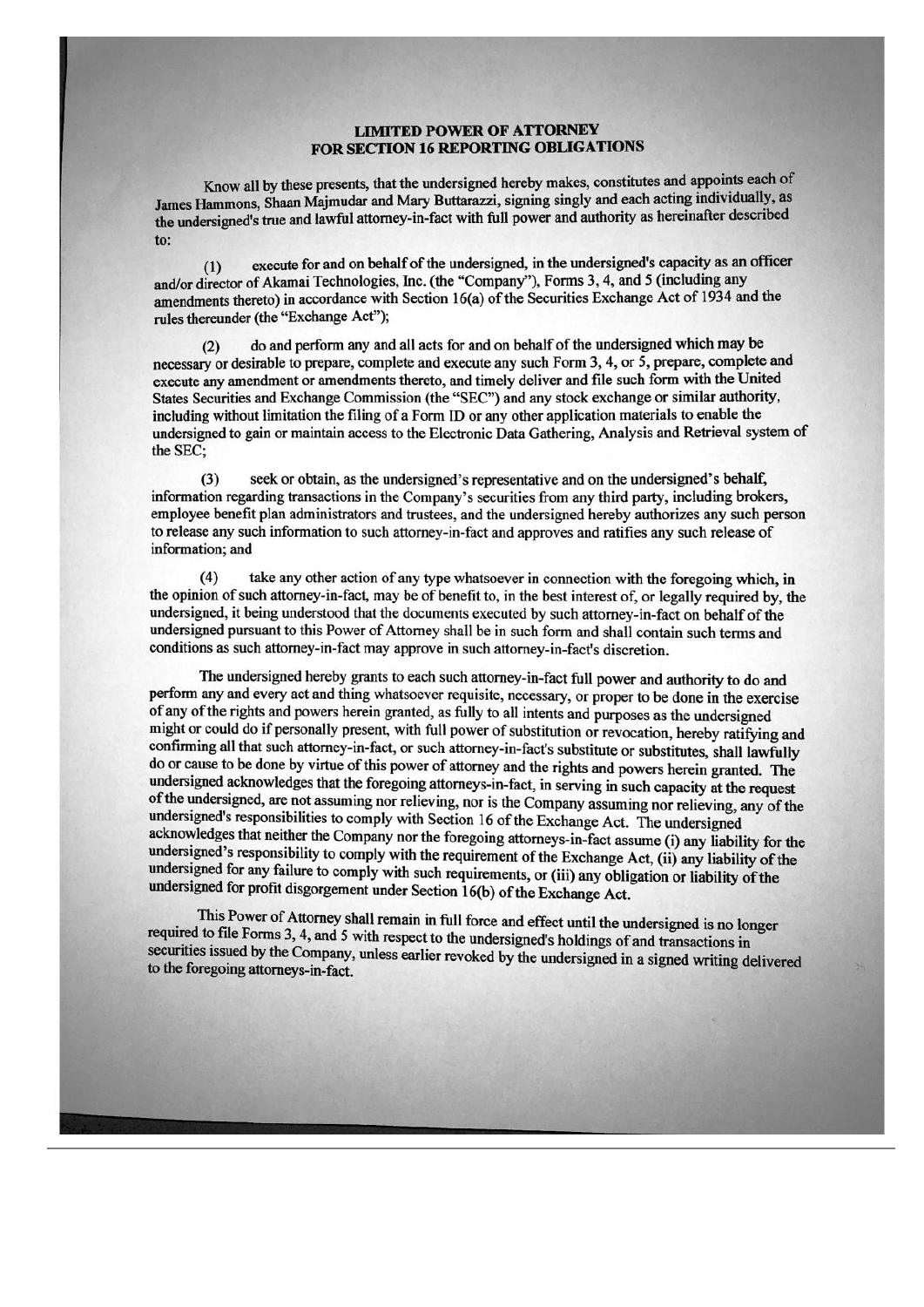## **LIMITED POWER OF ATTORNEY** FOR SECTION 16 REPORTING OBLIGATIONS

Know all by these presents, that the undersigned hereby makes, constitutes and appoints each of James Hammons, Shaan Majmudar and Mary Buttarazzi, signing singly and each acting individually, as the undersigned's true and lawful attorney-in-fact with full power and authority as hereinafter described to:

execute for and on behalf of the undersigned, in the undersigned's capacity as an officer  $(1)$ and/or director of Akamai Technologies, Inc. (the "Company"), Forms 3, 4, and 5 (including any amendments thereto) in accordance with Section 16(a) of the Securities Exchange Act of 1934 and the rules thereunder (the "Exchange Act");

do and perform any and all acts for and on behalf of the undersigned which may be  $(2)$ necessary or desirable to prepare, complete and execute any such Form 3, 4, or 5, prepare, complete and execute any amendment or amendments thereto, and timely deliver and file such form with the United States Securities and Exchange Commission (the "SEC") and any stock exchange or similar authority, including without limitation the filing of a Form ID or any other application materials to enable the undersigned to gain or maintain access to the Electronic Data Gathering, Analysis and Retrieval system of the SEC;

seek or obtain, as the undersigned's representative and on the undersigned's behalf,  $(3)$ information regarding transactions in the Company's securities from any third party, including brokers, employee benefit plan administrators and trustees, and the undersigned hereby authorizes any such person to release any such information to such attorney-in-fact and approves and ratifies any such release of information; and

 $(4)$ take any other action of any type whatsoever in connection with the foregoing which, in the opinion of such attorney-in-fact, may be of benefit to, in the best interest of, or legally required by, the undersigned, it being understood that the documents executed by such attorney-in-fact on behalf of the undersigned pursuant to this Power of Attorney shall be in such form and shall contain such terms and conditions as such attorney-in-fact may approve in such attorney-in-fact's discretion.

The undersigned hereby grants to each such attorney-in-fact full power and authority to do and perform any and every act and thing whatsoever requisite, necessary, or proper to be done in the exercise of any of the rights and powers herein granted, as fully to all intents and purposes as the undersigned might or could do if personally present, with full power of substitution or revocation, hereby ratifying and confirming all that such attorney-in-fact, or such attorney-in-fact's substitute or substitutes, shall lawfully do or cause to be done by virtue of this power of attorney and the rights and powers herein granted. The undersigned acknowledges that the foregoing attorneys-in-fact, in serving in such capacity at the request of the undersigned, are not assuming nor relieving, nor is the Company assuming nor relieving, any of the undersigned's responsibilities to comply with Section 16 of the Exchange Act. The undersigned acknowledges that neither the Company nor the foregoing attorneys-in-fact assume (i) any liability for the undersigned's responsibility to comply with the requirement of the Exchange Act, (ii) any liability of the undersigned for any failure to comply with such requirements, or (iii) any obligation or liability of the undersigned for profit disgorgement under Section 16(b) of the Exchange Act.

This Power of Attorney shall remain in full force and effect until the undersigned is no longer required to file Forms 3, 4, and 5 with respect to the undersigned's holdings of and transactions in securities issued by the Company, unless earlier revoked by the undersigned in a signed writing delivered to the foregoing attorneys-in-fact.